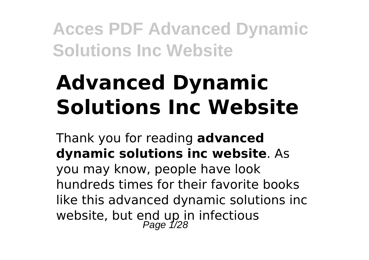# **Advanced Dynamic Solutions Inc Website**

Thank you for reading **advanced dynamic solutions inc website**. As you may know, people have look hundreds times for their favorite books like this advanced dynamic solutions inc website, but end up in infectious<br>Page 1/28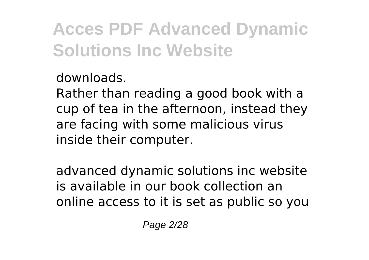downloads.

Rather than reading a good book with a cup of tea in the afternoon, instead they are facing with some malicious virus inside their computer.

advanced dynamic solutions inc website is available in our book collection an online access to it is set as public so you

Page 2/28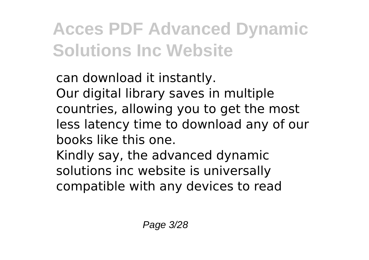can download it instantly. Our digital library saves in multiple countries, allowing you to get the most less latency time to download any of our books like this one.

Kindly say, the advanced dynamic solutions inc website is universally compatible with any devices to read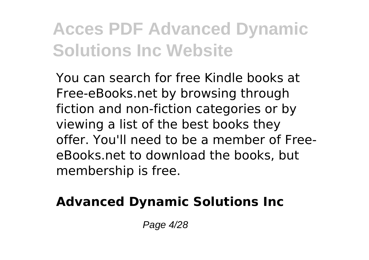You can search for free Kindle books at Free-eBooks.net by browsing through fiction and non-fiction categories or by viewing a list of the best books they offer. You'll need to be a member of FreeeBooks.net to download the books, but membership is free.

### **Advanced Dynamic Solutions Inc**

Page 4/28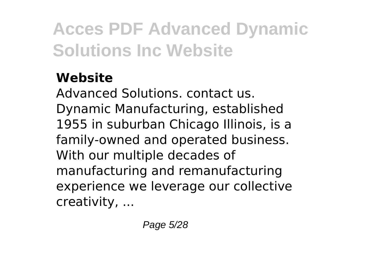### **Website**

Advanced Solutions. contact us. Dynamic Manufacturing, established 1955 in suburban Chicago Illinois, is a family-owned and operated business. With our multiple decades of manufacturing and remanufacturing experience we leverage our collective creativity, ...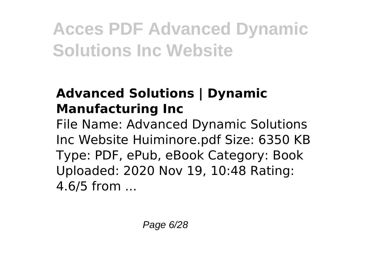### **Advanced Solutions | Dynamic Manufacturing Inc**

File Name: Advanced Dynamic Solutions Inc Website Huiminore.pdf Size: 6350 KB Type: PDF, ePub, eBook Category: Book Uploaded: 2020 Nov 19, 10:48 Rating: 4.6/5 from ...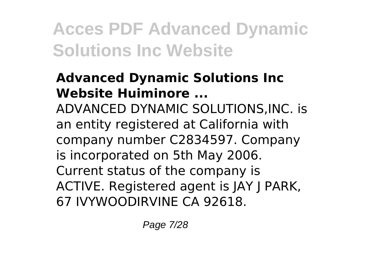#### **Advanced Dynamic Solutions Inc Website Huiminore ...**

ADVANCED DYNAMIC SOLUTIONS,INC. is an entity registered at California with company number C2834597. Company is incorporated on 5th May 2006. Current status of the company is ACTIVE. Registered agent is JAY J PARK, 67 IVYWOODIRVINE CA 92618.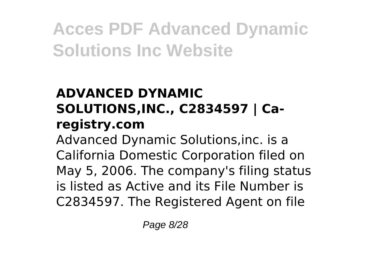### **ADVANCED DYNAMIC SOLUTIONS,INC., C2834597 | Caregistry.com**

Advanced Dynamic Solutions,inc. is a California Domestic Corporation filed on May 5, 2006. The company's filing status is listed as Active and its File Number is C2834597. The Registered Agent on file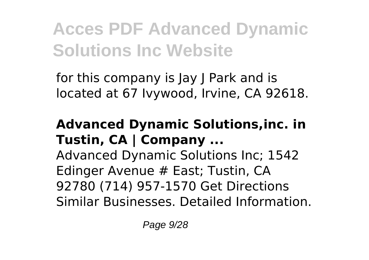for this company is Jay J Park and is located at 67 Ivywood, Irvine, CA 92618.

### **Advanced Dynamic Solutions,inc. in Tustin, CA | Company ...**

Advanced Dynamic Solutions Inc; 1542 Edinger Avenue # East; Tustin, CA 92780 (714) 957-1570 Get Directions Similar Businesses. Detailed Information.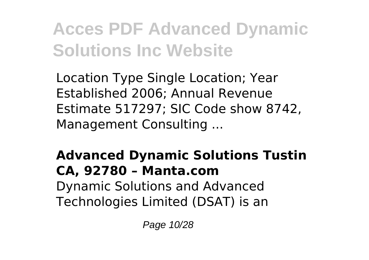Location Type Single Location; Year Established 2006; Annual Revenue Estimate 517297; SIC Code show 8742, Management Consulting ...

#### **Advanced Dynamic Solutions Tustin CA, 92780 – Manta.com** Dynamic Solutions and Advanced Technologies Limited (DSAT) is an

Page 10/28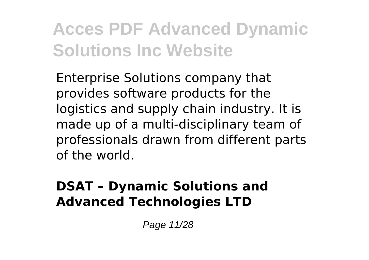Enterprise Solutions company that provides software products for the logistics and supply chain industry. It is made up of a multi-disciplinary team of professionals drawn from different parts of the world.

#### **DSAT – Dynamic Solutions and Advanced Technologies LTD**

Page 11/28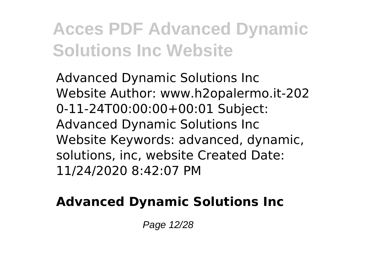Advanced Dynamic Solutions Inc Website Author: www.h2opalermo.it-202 0-11-24T00:00:00+00:01 Subject: Advanced Dynamic Solutions Inc Website Keywords: advanced, dynamic, solutions, inc, website Created Date: 11/24/2020 8:42:07 PM

### **Advanced Dynamic Solutions Inc**

Page 12/28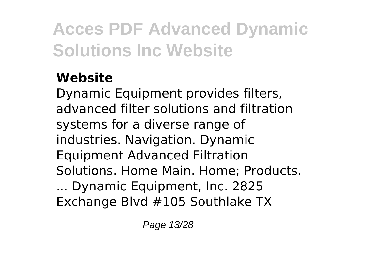### **Website**

Dynamic Equipment provides filters, advanced filter solutions and filtration systems for a diverse range of industries. Navigation. Dynamic Equipment Advanced Filtration Solutions. Home Main. Home; Products. ... Dynamic Equipment, Inc. 2825 Exchange Blvd #105 Southlake TX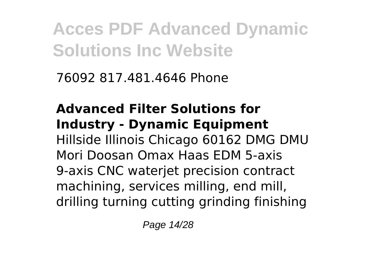76092 817.481.4646 Phone

**Advanced Filter Solutions for Industry - Dynamic Equipment** Hillside Illinois Chicago 60162 DMG DMU Mori Doosan Omax Haas EDM 5-axis 9-axis CNC waterjet precision contract machining, services milling, end mill, drilling turning cutting grinding finishing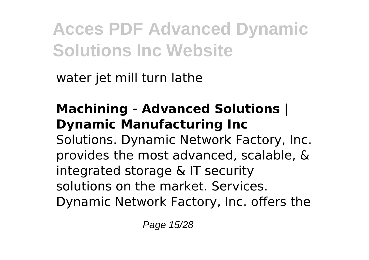water jet mill turn lathe

### **Machining - Advanced Solutions | Dynamic Manufacturing Inc**

Solutions. Dynamic Network Factory, Inc. provides the most advanced, scalable, & integrated storage & IT security solutions on the market. Services. Dynamic Network Factory, Inc. offers the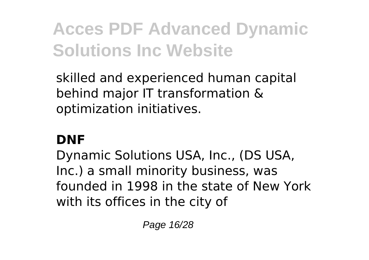skilled and experienced human capital behind major IT transformation & optimization initiatives.

#### **DNF**

Dynamic Solutions USA, Inc., (DS USA, Inc.) a small minority business, was founded in 1998 in the state of New York with its offices in the city of

Page 16/28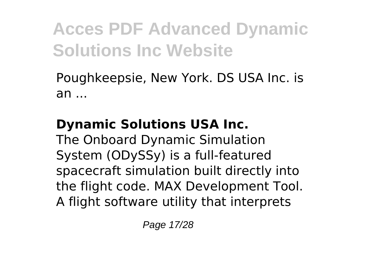Poughkeepsie, New York. DS USA Inc. is an ...

### **Dynamic Solutions USA Inc.**

The Onboard Dynamic Simulation System (ODySSy) is a full-featured spacecraft simulation built directly into the flight code. MAX Development Tool. A flight software utility that interprets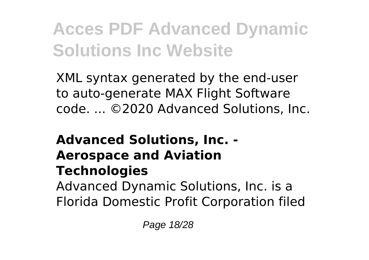XML syntax generated by the end-user to auto-generate MAX Flight Software code. ... ©2020 Advanced Solutions, Inc.

### **Advanced Solutions, Inc. - Aerospace and Aviation Technologies** Advanced Dynamic Solutions, Inc. is a

Florida Domestic Profit Corporation filed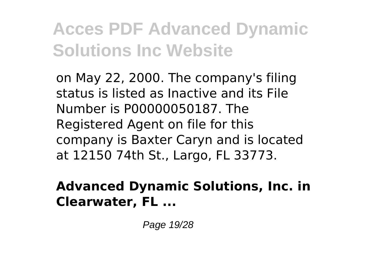on May 22, 2000. The company's filing status is listed as Inactive and its File Number is P00000050187. The Registered Agent on file for this company is Baxter Caryn and is located at 12150 74th St., Largo, FL 33773.

#### **Advanced Dynamic Solutions, Inc. in Clearwater, FL ...**

Page 19/28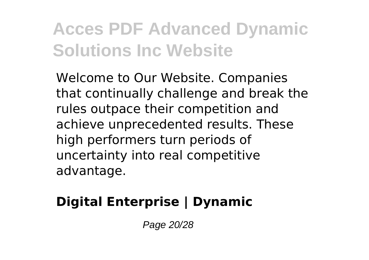Welcome to Our Website. Companies that continually challenge and break the rules outpace their competition and achieve unprecedented results. These high performers turn periods of uncertainty into real competitive advantage.

### **Digital Enterprise | Dynamic**

Page 20/28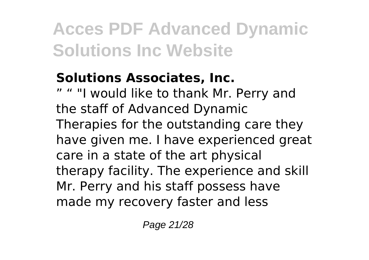#### **Solutions Associates, Inc.**

" "I would like to thank Mr. Perry and the staff of Advanced Dynamic Therapies for the outstanding care they have given me. I have experienced great care in a state of the art physical therapy facility. The experience and skill Mr. Perry and his staff possess have made my recovery faster and less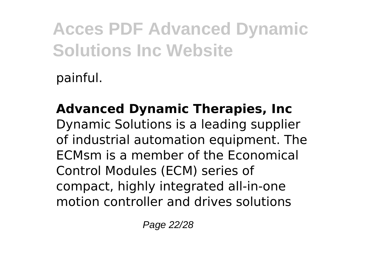painful.

**Advanced Dynamic Therapies, Inc** Dynamic Solutions is a leading supplier of industrial automation equipment. The ECMsm is a member of the Economical Control Modules (ECM) series of compact, highly integrated all-in-one motion controller and drives solutions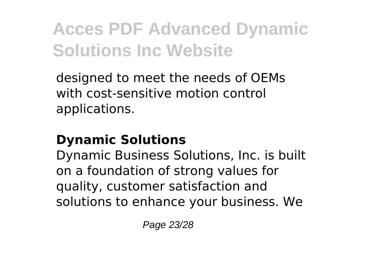designed to meet the needs of OEMs with cost-sensitive motion control applications.

#### **Dynamic Solutions**

Dynamic Business Solutions, Inc. is built on a foundation of strong values for quality, customer satisfaction and solutions to enhance your business. We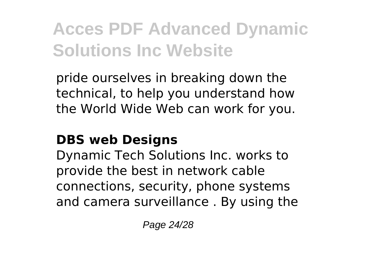pride ourselves in breaking down the technical, to help you understand how the World Wide Web can work for you.

#### **DBS web Designs**

Dynamic Tech Solutions Inc. works to provide the best in network cable connections, security, phone systems and camera surveillance . By using the

Page 24/28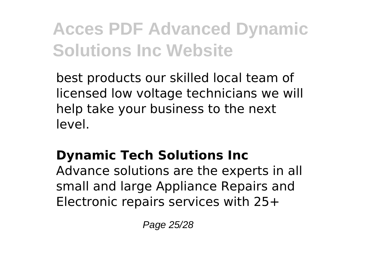best products our skilled local team of licensed low voltage technicians we will help take your business to the next level.

### **Dynamic Tech Solutions Inc**

Advance solutions are the experts in all small and large Appliance Repairs and Electronic repairs services with 25+

Page 25/28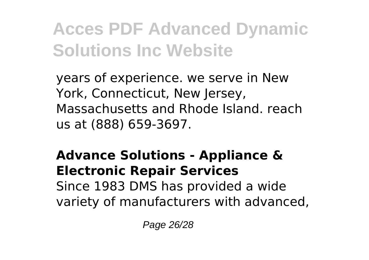years of experience. we serve in New York, Connecticut, New Jersey, Massachusetts and Rhode Island. reach us at (888) 659-3697.

#### **Advance Solutions - Appliance & Electronic Repair Services** Since 1983 DMS has provided a wide variety of manufacturers with advanced,

Page 26/28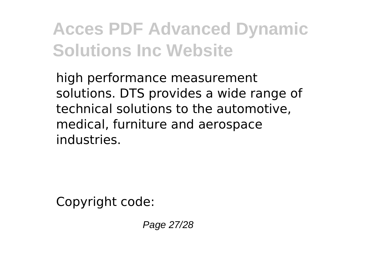high performance measurement solutions. DTS provides a wide range of technical solutions to the automotive, medical, furniture and aerospace industries.

Copyright code:

Page 27/28